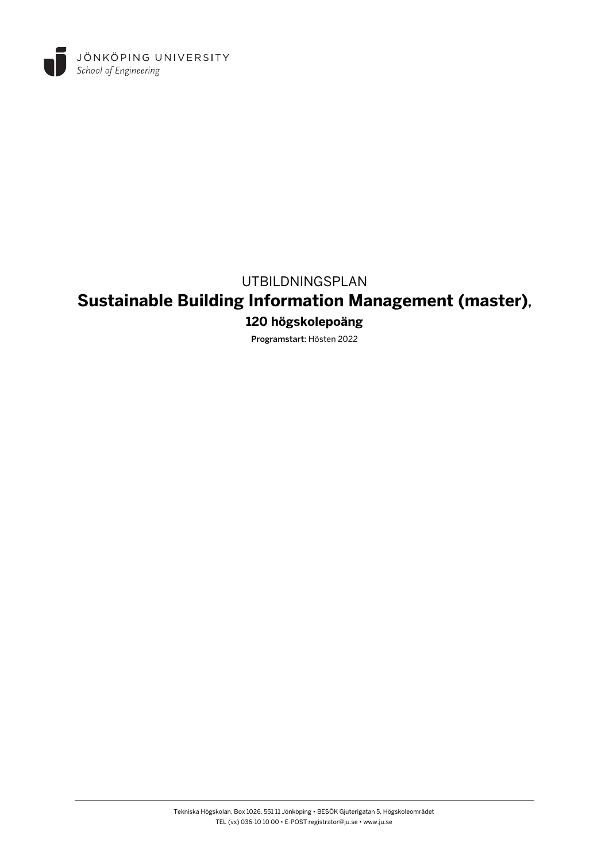

### UTBILDNINGSPLAN

# **Sustainable Building Information Management (master),**

### **120 högskolepoäng**

Programstart: Hösten 2022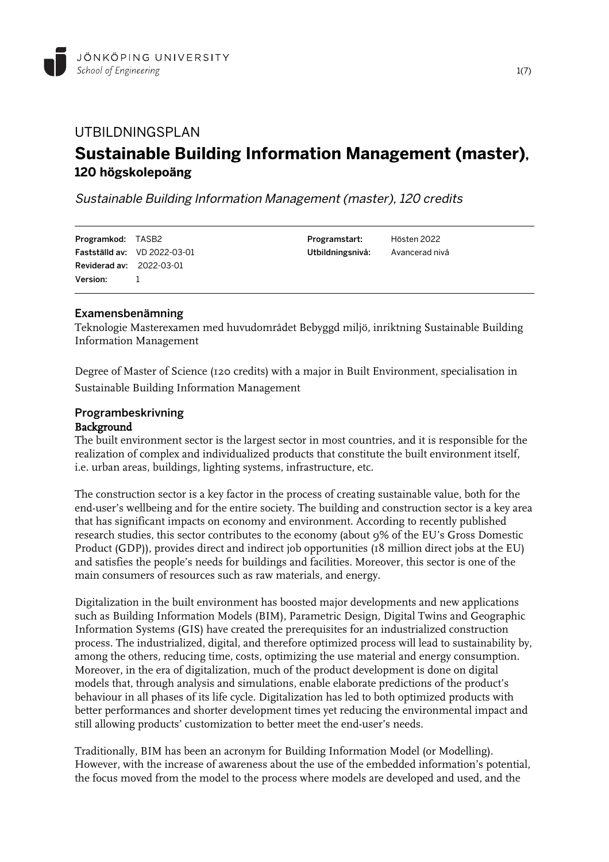

## UTBILDNINGSPLAN **Sustainable Building Information Management (master), 120 högskolepoäng**

Sustainable Building Information Management (master), 120 credits

| <b>Programkod:</b> TASB2        |                                     | Programstart:                   | Hösten 2022 |
|---------------------------------|-------------------------------------|---------------------------------|-------------|
|                                 | <b>Fastställd av:</b> VD 2022-03-01 | Utbildningsnivå: Avancerad nivå |             |
| <b>Reviderad av: 2022-03-01</b> |                                     |                                 |             |
| <b>Version:</b>                 | $\sim$ 1.000 $\sim$                 |                                 |             |

#### Examensbenämning

Teknologie Masterexamen med huvudområdet Bebyggd miljö, inriktning Sustainable Building Information Management

Degree of Master of Science (120 credits) with a major in Built Environment, specialisation in Sustainable Building Information Management

## Programbeskrivning

#### Background

The built environment sector is the largest sector in most countries, and it is responsible for the realization of complex and individualized products that constitute the built environment itself, i.e. urban areas, buildings, lighting systems, infrastructure, etc.

The construction sector is a key factor in the process of creating sustainable value, both for the end-user's wellbeing and for the entire society. The building and construction sector is a key area that has significant impacts on economy and environment. According to recently published research studies, this sector contributes to the economy (about 9% of the EU's Gross Domestic Product (GDP)), provides direct and indirect job opportunities (18 million direct jobs at the EU) and satisfies the people's needs for buildings and facilities. Moreover, this sector is one of the main consumers of resources such as raw materials, and energy.

Digitalization in the built environment has boosted major developments and new applications such as Building Information Models (BIM), Parametric Design, Digital Twins and Geographic Information Systems (GIS) have created the prerequisites for an industrialized construction process. The industrialized, digital, and therefore optimized process will lead to sustainability by, among the others, reducing time, costs, optimizing the use material and energy consumption. Moreover, in the era of digitalization, much of the product development is done on digital models that, through analysis and simulations, enable elaborate predictions of the product's behaviour in all phases of its life cycle. Digitalization has led to both optimized products with better performances and shorter development times yet reducing the environmental impact and still allowing products' customization to better meet the end-user's needs.

Traditionally, BIM has been an acronym for Building Information Model (or Modelling). However, with the increase of awareness about the use of the embedded information's potential, the focus moved from the model to the process where models are developed and used, and the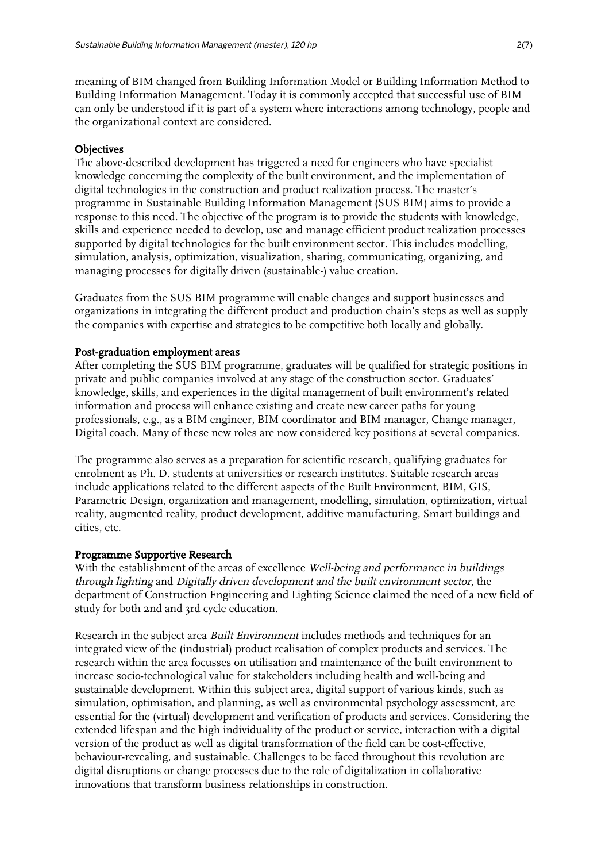meaning of BIM changed from Building Information Model or Building Information Method to Building Information Management. Today it is commonly accepted that successful use of BIM can only be understood if it is part of a system where interactions among technology, people and the organizational context are considered.

#### **Objectives**

The above-described development has triggered a need for engineers who have specialist knowledge concerning the complexity of the built environment, and the implementation of digital technologies in the construction and product realization process. The master's programme in Sustainable Building Information Management (SUS BIM) aims to provide a response to this need. The objective of the program is to provide the students with knowledge, skills and experience needed to develop, use and manage efficient product realization processes supported by digital technologies for the built environment sector. This includes modelling, simulation, analysis, optimization, visualization, sharing, communicating, organizing, and managing processes for digitally driven (sustainable-) value creation.

Graduates from the SUS BIM programme will enable changes and support businesses and organizations in integrating the different product and production chain's steps as well as supply the companies with expertise and strategies to be competitive both locally and globally.

#### Post-graduation employment areas

After completing the SUS BIM programme, graduates will be qualified for strategic positions in private and public companies involved at any stage of the construction sector. Graduates' knowledge, skills, and experiences in the digital management of built environment's related information and process will enhance existing and create new career paths for young professionals, e.g., as a BIM engineer, BIM coordinator and BIM manager, Change manager, Digital coach. Many of these new roles are now considered key positions at several companies.

The programme also serves as a preparation for scientific research, qualifying graduates for enrolment as Ph. D. students at universities or research institutes. Suitable research areas include applications related to the different aspects of the Built Environment, BIM, GIS, Parametric Design, organization and management, modelling, simulation, optimization, virtual reality, augmented reality, product development, additive manufacturing, Smart buildings and cities, etc.

#### Programme Supportive Research

With the establishment of the areas of excellence Well-being and performance in buildings through lighting and Digitally driven development and the built environment sector, the department of Construction Engineering and Lighting Science claimed the need of a new field of study for both 2nd and 3rd cycle education.

Research in the subject area Built Environment includes methods and techniques for an integrated view of the (industrial) product realisation of complex products and services. The research within the area focusses on utilisation and maintenance of the built environment to increase socio-technological value for stakeholders including health and well-being and sustainable development. Within this subject area, digital support of various kinds, such as simulation, optimisation, and planning, as well as environmental psychology assessment, are essential for the (virtual) development and verification of products and services. Considering the extended lifespan and the high individuality of the product or service, interaction with a digital version of the product as well as digital transformation of the field can be cost-effective, behaviour-revealing, and sustainable. Challenges to be faced throughout this revolution are digital disruptions or change processes due to the role of digitalization in collaborative innovations that transform business relationships in construction.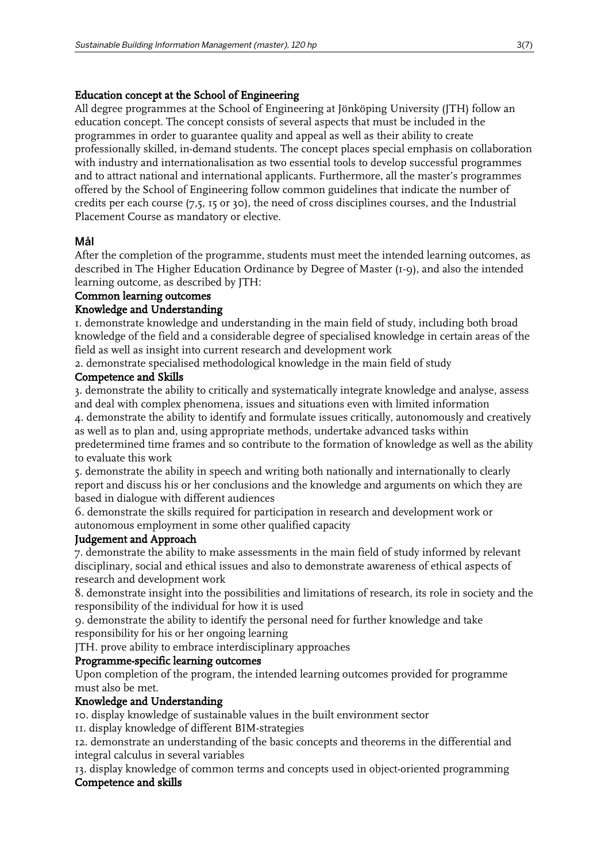#### Education concept at the School of Engineering

All degree programmes at the School of Engineering at Jönköping University (JTH) follow an education concept. The concept consists of several aspects that must be included in the programmes in order to guarantee quality and appeal as well as their ability to create professionally skilled, in-demand students. The concept places special emphasis on collaboration with industry and internationalisation as two essential tools to develop successful programmes and to attract national and international applicants. Furthermore, all the master's programmes offered by the School of Engineering follow common guidelines that indicate the number of credits per each course (7,5, 15 or 30), the need of cross disciplines courses, and the Industrial Placement Course as mandatory or elective.

#### Mål

After the completion of the programme, students must meet the intended learning outcomes, as described in The Higher Education Ordinance by Degree of Master (1-9), and also the intended learning outcome, as described by JTH:

#### Common learning outcomes

#### Knowledge and Understanding

1. demonstrate knowledge and understanding in the main field of study, including both broad knowledge of the field and a considerable degree of specialised knowledge in certain areas of the field as well as insight into current research and development work

2. demonstrate specialised methodological knowledge in the main field of study

#### Competence and Skills

3. demonstrate the ability to critically and systematically integrate knowledge and analyse, assess and deal with complex phenomena, issues and situations even with limited information

4. demonstrate the ability to identify and formulate issues critically, autonomously and creatively as well as to plan and, using appropriate methods, undertake advanced tasks within

predetermined time frames and so contribute to the formation of knowledge as well as the ability to evaluate this work

5. demonstrate the ability in speech and writing both nationally and internationally to clearly report and discuss his or her conclusions and the knowledge and arguments on which they are based in dialogue with different audiences

6. demonstrate the skills required for participation in research and development work or autonomous employment in some other qualified capacity

#### Judgement and Approach

7. demonstrate the ability to make assessments in the main field of study informed by relevant disciplinary, social and ethical issues and also to demonstrate awareness of ethical aspects of research and development work

8. demonstrate insight into the possibilities and limitations of research, its role in society and the responsibility of the individual for how it is used

9. demonstrate the ability to identify the personal need for further knowledge and take responsibility for his or her ongoing learning

JTH. prove ability to embrace interdisciplinary approaches

#### Programme-specific learning outcomes

Upon completion of the program, the intended learning outcomes provided for programme must also be met.

#### Knowledge and Understanding

10. display knowledge of sustainable values in the built environment sector

11. display knowledge of different BIM-strategies

12. demonstrate an understanding of the basic concepts and theorems in the differential and integral calculus in several variables

13. display knowledge of common terms and concepts used in object-oriented programming Competence and skills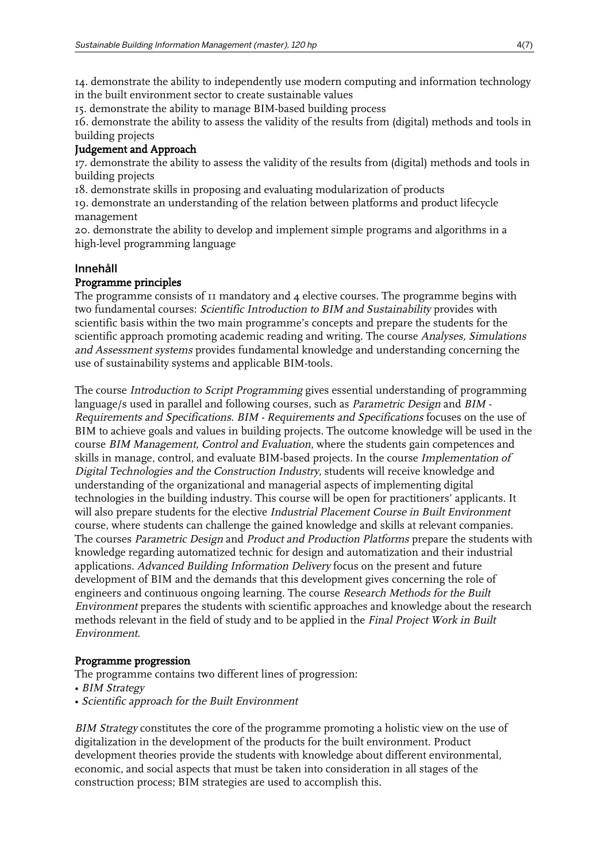14. demonstrate the ability to independently use modern computing and information technology in the built environment sector to create sustainable values

15. demonstrate the ability to manage BIM-based building process

16. demonstrate the ability to assess the validity of the results from (digital) methods and tools in building projects

#### Judgement and Approach

17. demonstrate the ability to assess the validity of the results from (digital) methods and tools in building projects

18. demonstrate skills in proposing and evaluating modularization of products

19. demonstrate an understanding of the relation between platforms and product lifecycle management

20. demonstrate the ability to develop and implement simple programs and algorithms in a high-level programming language

#### Innehåll

#### Programme principles

The programme consists of 11 mandatory and 4 elective courses. The programme begins with two fundamental courses: Scientific Introduction to BIM and Sustainability provides with scientific basis within the two main programme's concepts and prepare the students for the scientific approach promoting academic reading and writing. The course Analyses, Simulations and Assessment systems provides fundamental knowledge and understanding concerning the use of sustainability systems and applicable BIM-tools.

The course Introduction to Script Programming gives essential understanding of programming language/s used in parallel and following courses, such as Parametric Design and BIM - Requirements and Specifications. BIM - Requirements and Specifications focuses on the use of BIM to achieve goals and values in building projects. The outcome knowledge will be used in the course BIM Management, Control and Evaluation, where the students gain competences and skills in manage, control, and evaluate BIM-based projects. In the course Implementation of Digital Technologies and the Construction Industry, students will receive knowledge and understanding of the organizational and managerial aspects of implementing digital technologies in the building industry. This course will be open for practitioners' applicants. It will also prepare students for the elective Industrial Placement Course in Built Environment course, where students can challenge the gained knowledge and skills at relevant companies. The courses Parametric Design and Product and Production Platforms prepare the students with knowledge regarding automatized technic for design and automatization and their industrial applications. Advanced Building Information Delivery focus on the present and future development of BIM and the demands that this development gives concerning the role of engineers and continuous ongoing learning. The course Research Methods for the Built Environment prepares the students with scientific approaches and knowledge about the research methods relevant in the field of study and to be applied in the Final Project Work in Built Environment.

#### Programme progression

The programme contains two different lines of progression:

- BIM Strategy
- Scientific approach for the Built Environment

BIM Strategy constitutes the core of the programme promoting a holistic view on the use of digitalization in the development of the products for the built environment. Product development theories provide the students with knowledge about different environmental, economic, and social aspects that must be taken into consideration in all stages of the construction process; BIM strategies are used to accomplish this.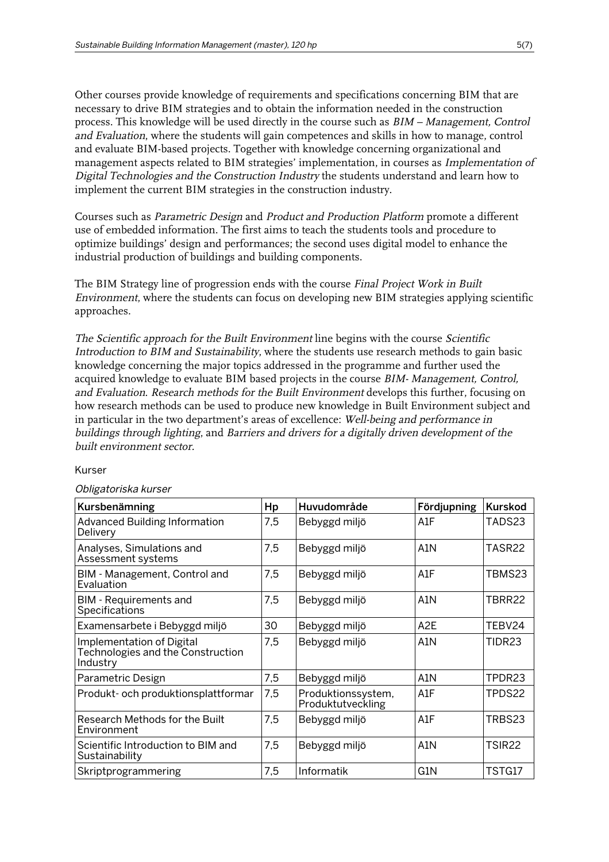Other courses provide knowledge of requirements and specifications concerning BIM that are necessary to drive BIM strategies and to obtain the information needed in the construction process. This knowledge will be used directly in the course such as BIM – Management, Control and Evaluation, where the students will gain competences and skills in how to manage, control and evaluate BIM-based projects. Together with knowledge concerning organizational and management aspects related to BIM strategies' implementation, in courses as Implementation of Digital Technologies and the Construction Industry the students understand and learn how to implement the current BIM strategies in the construction industry.

Courses such as Parametric Design and Product and Production Platform promote a different use of embedded information. The first aims to teach the students tools and procedure to optimize buildings' design and performances; the second uses digital model to enhance the industrial production of buildings and building components.

The BIM Strategy line of progression ends with the course Final Project Work in Built Environment, where the students can focus on developing new BIM strategies applying scientific approaches.

The Scientific approach for the Built Environment line begins with the course Scientific Introduction to BIM and Sustainability, where the students use research methods to gain basic knowledge concerning the major topics addressed in the programme and further used the acquired knowledge to evaluate BIM based projects in the course *BIM- Management, Control,* and Evaluation. Research methods for the Built Environment develops this further, focusing on how research methods can be used to produce new knowledge in Built Environment subject and in particular in the two department's areas of excellence: Well-being and performance in buildings through lighting, and Barriers and drivers for a digitally driven development of the built environment sector.

#### Kurser

#### Obligatoriska kurser

| Kursbenämning                                                              | Hp  | Huvudområde                             | Fördjupning      | Kurskod       |
|----------------------------------------------------------------------------|-----|-----------------------------------------|------------------|---------------|
| <b>Advanced Building Information</b><br>Delivery                           | 7,5 | Bebyggd miljö                           | A1F              | TADS23        |
| Analyses, Simulations and<br>Assessment systems                            | 7,5 | Bebyggd miljö                           | A <sub>1</sub> N | TASR22        |
| BIM - Management, Control and<br>Evaluation                                | 7,5 | Bebyggd miljö                           | A1F              | TBMS23        |
| <b>BIM - Requirements and</b><br>Specifications                            | 7,5 | Bebyggd miljö                           | A1N              | TBRR22        |
| Examensarbete i Bebyggd miljö                                              | 30  | Bebyggd miljö                           | A <sub>2</sub> E | TEBV24        |
| Implementation of Digital<br>Technologies and the Construction<br>Industry | 7,5 | Bebyggd miljö                           | A1N              | TIDR23        |
| Parametric Design                                                          | 7,5 | Bebyggd miljö                           | A1N              | TPDR23        |
| Produkt- och produktionsplattformar                                        | 7,5 | Produktionssystem,<br>Produktutveckling | A1F              | TPDS22        |
| Research Methods for the Built<br>Environment                              | 7,5 | Bebyggd miljö                           | A1F              | TRBS23        |
| Scientific Introduction to BIM and<br>Sustainability                       | 7,5 | Bebyggd miljö                           | A1N              | <b>TSIR22</b> |
| Skriptprogrammering                                                        | 7,5 | Informatik                              | G1N              | TSTG17        |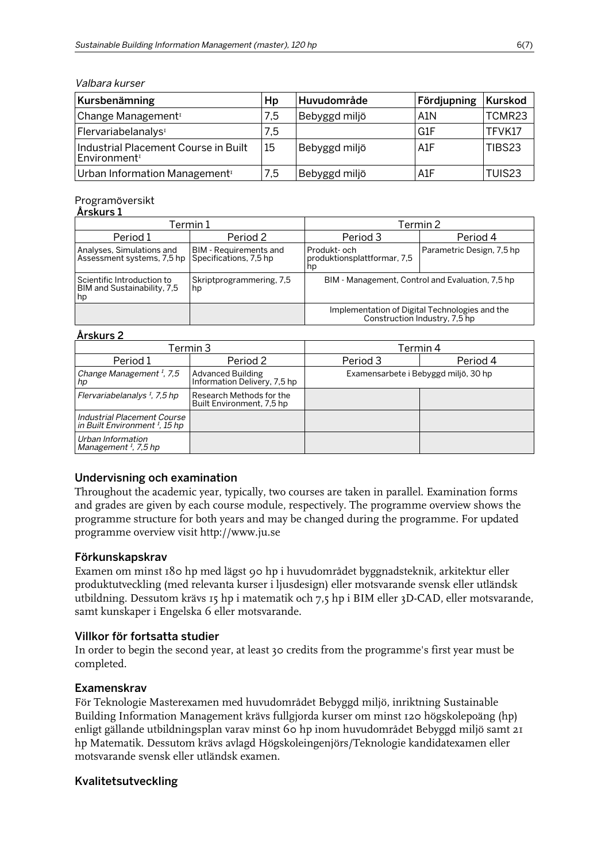#### Valbara kurser

| Kursbenämning                                                    | Hp  | Huvudområde   | Fördjupning | Kurskod |
|------------------------------------------------------------------|-----|---------------|-------------|---------|
| Change Management <sup>1</sup>                                   | 7,5 | Bebyggd miljö | A1N         | TCMR23  |
| Flervariabelanalys <sup>1</sup>                                  | 7,5 |               | l G1F       | TFVK17  |
| Industrial Placement Course in Built<br>Environment <sup>1</sup> | 15  | Bebyggd miljö | A1F         | TIBS23  |
| Urban Information Management <sup>1</sup>                        | 7,5 | Bebyggd miljö | ⊺A1F        | TUIS23  |

#### Programöversikt

#### Årskurs 1

| Termin 1                                                        |                                                         | Termin 2                                                                        |                           |  |
|-----------------------------------------------------------------|---------------------------------------------------------|---------------------------------------------------------------------------------|---------------------------|--|
| Period 1                                                        | Period 2                                                | Period 3                                                                        | Period 4                  |  |
| Analyses, Simulations and<br>Assessment systems, 7,5 hp         | <b>BIM</b> - Requirements and<br>Specifications, 7,5 hp | Produkt- och<br>produktionsplattformar, 7,5<br>hp                               | Parametric Design, 7,5 hp |  |
| Scientific Introduction to<br>BIM and Sustainability, 7,5<br>hp | Skriptprogrammering, 7,5<br>hp                          | BIM - Management, Control and Evaluation, 7,5 hp                                |                           |  |
|                                                                 |                                                         | Implementation of Digital Technologies and the<br>Construction Industry, 7,5 hp |                           |  |

#### Årskurs 2

| Termin 3                                                                 |                                                          | Termin 4                             |          |  |
|--------------------------------------------------------------------------|----------------------------------------------------------|--------------------------------------|----------|--|
| Period 1                                                                 | Period 2                                                 | Period 3                             | Period 4 |  |
| Change Management $I$ , 7,5<br>hp                                        | <b>Advanced Building</b><br>Information Delivery, 7,5 hp | Examensarbete i Bebyggd miljö, 30 hp |          |  |
| Flervariabelanalys $\frac{1}{2}$ , 7,5 hp                                | Research Methods for the<br>Built Environment, 7,5 hp    |                                      |          |  |
| Industrial Placement Course<br>in Built Environment <sup>1</sup> , 15 hp |                                                          |                                      |          |  |
| Urban Information<br>Management <sup>1</sup> , 7,5 hp                    |                                                          |                                      |          |  |

#### Undervisning och examination

Throughout the academic year, typically, two courses are taken in parallel. Examination forms and grades are given by each course module, respectively. The programme overview shows the programme structure for both years and may be changed during the programme. For updated programme overview visit http://www.ju.se

#### Förkunskapskrav

Examen om minst 180 hp med lägst 90 hp i huvudområdet byggnadsteknik, arkitektur eller produktutveckling (med relevanta kurser i ljusdesign) eller motsvarande svensk eller utländsk utbildning. Dessutom krävs 15 hp i matematik och 7,5 hp i BIM eller 3D-CAD, eller motsvarande, samt kunskaper i Engelska 6 eller motsvarande.

#### Villkor för fortsatta studier

In order to begin the second year, at least 30 credits from the programme's first year must be completed.

#### Examenskrav

För Teknologie Masterexamen med huvudområdet Bebyggd miljö, inriktning Sustainable Building Information Management krävs fullgjorda kurser om minst 120 högskolepoäng (hp) enligt gällande utbildningsplan varav minst 60 hp inom huvudområdet Bebyggd miljö samt 21 hp Matematik. Dessutom krävs avlagd Högskoleingenjörs/Teknologie kandidatexamen eller motsvarande svensk eller utländsk examen.

#### Kvalitetsutveckling